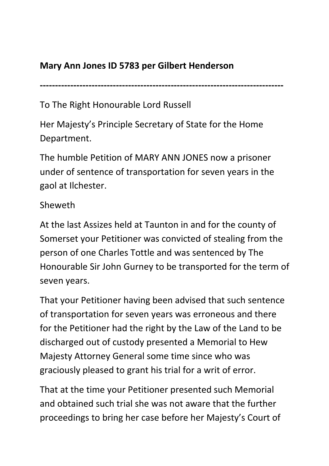## **Mary Ann Jones ID 5783 per Gilbert Henderson**

**--------------------------------------------------------------------------------** 

To The Right Honourable Lord Russell

Her Majesty's Principle Secretary of State for the Home Department.

The humble Petition of MARY ANN JONES now a prisoner under of sentence of transportation for seven years in the gaol at Ilchester.

## Sheweth

At the last Assizes held at Taunton in and for the county of Somerset your Petitioner was convicted of stealing from the person of one Charles Tottle and was sentenced by The Honourable Sir John Gurney to be transported for the term of seven years.

That your Petitioner having been advised that such sentence of transportation for seven years was erroneous and there for the Petitioner had the right by the Law of the Land to be discharged out of custody presented a Memorial to Hew Majesty Attorney General some time since who was graciously pleased to grant his trial for a writ of error.

That at the time your Petitioner presented such Memorial and obtained such trial she was not aware that the further proceedings to bring her case before her Majesty's Court of